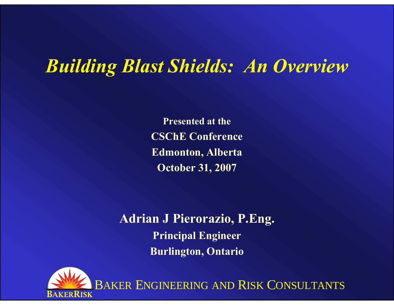## *Building Blast Shields: An Overview*

**Presented at theCSChE Conference Edmonton, Alberta October 31, 2007**

**Adrian J Pierorazio, P.Eng. Principal Engineer Burlington, Ontario**

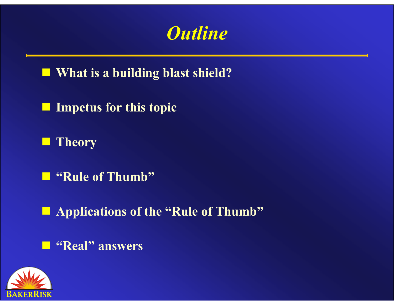

■ What is a building blast shield?

 $\Box$ **Impetus for this topic**

 $\Box$ **Theory**

**"Rule of Thumb"**

**Applications of the "Rule of Thumb"**

**"Real" answers**

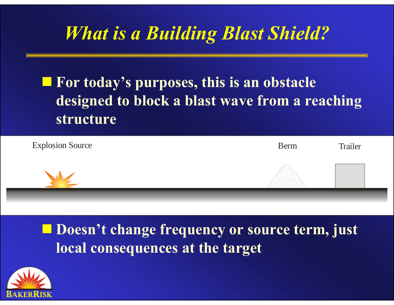# *What is a Building Blast Shield?*

### **For today's purposes, this is an obstacle designed to block a blast wave from a reaching structure**



 **Doesn't change frequency or source term, just local consequences at the target**

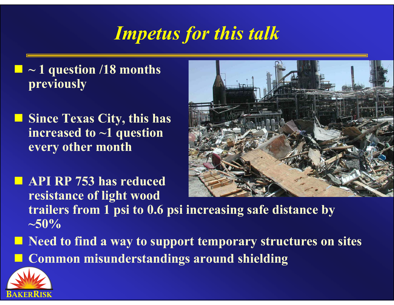# *Impetus for this talk*

- p. **~ 1 question /18 months previously**
- **Since Texas City, this has increased to ~1 question every other month**



- **API RP 753 has reduced resistance of light wood trailers from 1 psi to 0.6 psi increasing safe distance by ~50%**
- **Need to find a way to support temporary structures on sites** ria<br>Ma **Common misunderstandings around shielding**

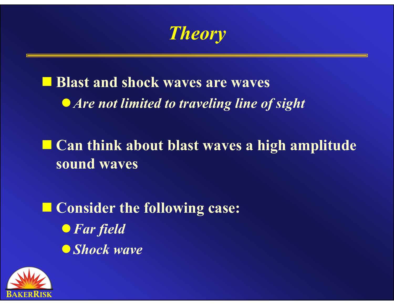*Theory*

## **E** Blast and shock waves are waves  $\bullet$  *Are not limited to traveling line of sight*

■ Can think about blast waves a high amplitude **sound waves**

 **Consider the following case:** <sup>z</sup>*Far field* **O***Shock wave* 

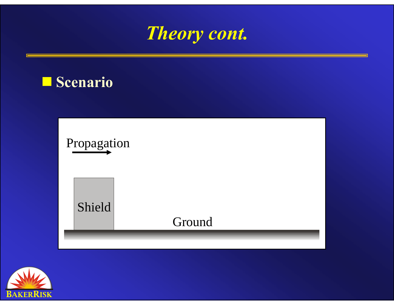





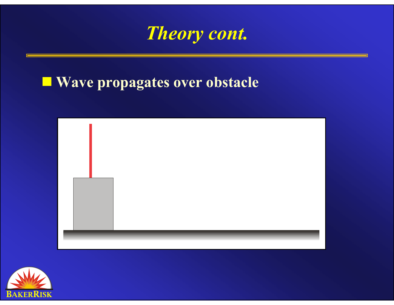

#### **Wave propagates over obstacle**



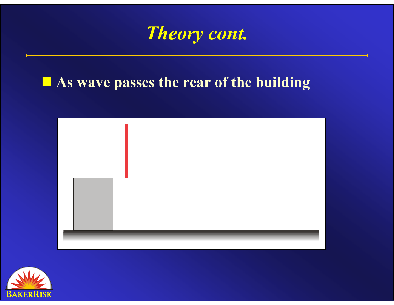

#### **As wave passes the rear of the building**



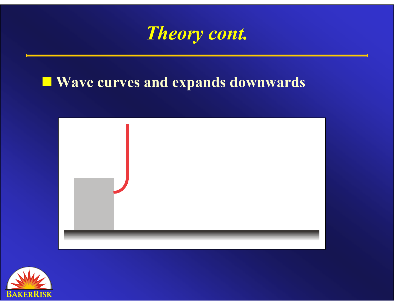

### **Wave curves and expands downwards**



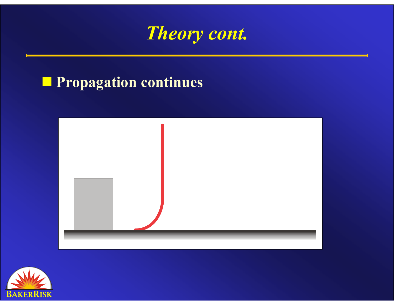

#### **Propagation continues**



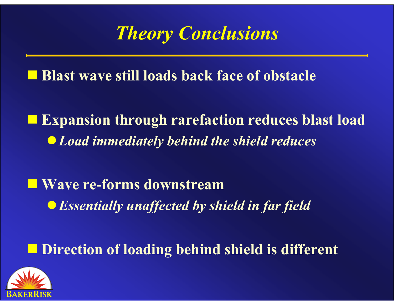# *Theory Conclusions*

**Blast wave still loads back face of obstacle**

 $\Box$  **Expansion through rarefaction reduces blast load** <sup>z</sup>*Load immediately behind the shield reduces*

 **Wave re-forms downstream** $\bullet$  **Essentially unaffected by shield in far field** 

 $\blacksquare$  **Direction of loading behind shield is different** 

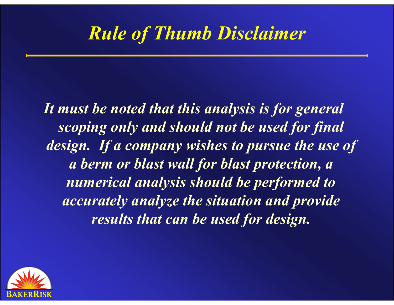## *Rule of Thumb Disclaimer*

*It must be noted that this analysis is for general scoping only and should not be used for final*  design. If a company wishes to pursue the use of *a berm or blast wall for blast protection, a numerical analysis should be performed to accurately analyze the situation and provide results that can be used for design.*

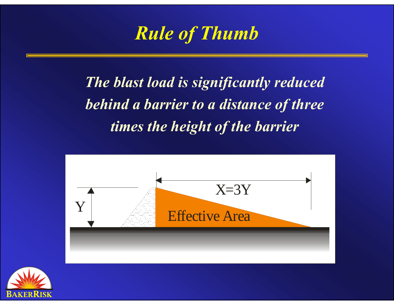

*The blast load is significantly reduced behind a barrier to a distance of three times the height of the barrier* 



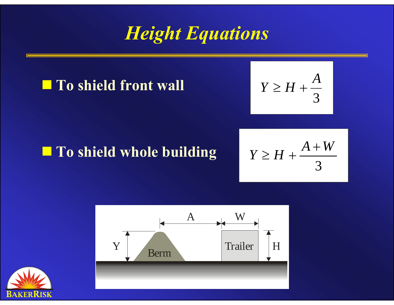## *Height Equations*

#### **To shield front wall**

$$
Y \geq H + \frac{A}{3}
$$

## **To shield whole building**

$$
Y \geq H + \frac{A+W}{3}
$$



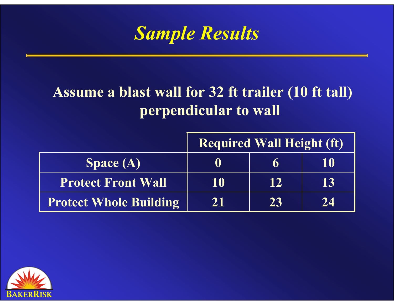

### **Assume a blast wall for 32 ft trailer (10 ft tall) perpendicular to wall**

|                               | <b>Required Wall Height (ft)</b> |    |    |
|-------------------------------|----------------------------------|----|----|
| Space $(A)$                   | Ü                                | h  | 10 |
| <b>Protect Front Wall</b>     | 10                               | 12 | 13 |
| <b>Protect Whole Building</b> | 21                               | 23 | 24 |

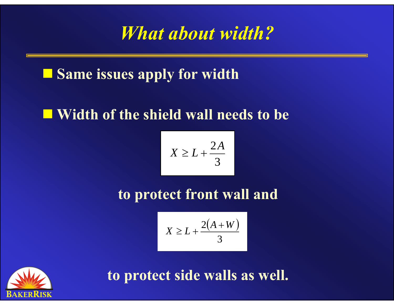## *What about width?*

### **Same issues apply for width**

#### **Width of the shield wall needs to be**

$$
X \ge L + \frac{2A}{3}
$$

**to protect front wall and**

$$
X \ge L + \frac{2(A+W)}{3}
$$



**to protect side walls as well.**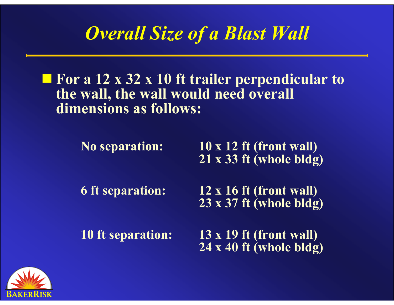## *Overall Size of a Blast Wall*

#### ■ For a 12 x 32 x 10 ft trailer perpendicular to **the wall, the wall would need overall dimensions as follows:**

**No separation: 10 x 12 ft (front wall) 21 x 33 ft (whole bldg)**

**6 ft separation: 12 x 16 ft (front wall) 23 x 37 ft (whole bldg)**

**10 ft separation: 13 x 19 ft (front wall) 24 x 40 ft (whole bldg)**

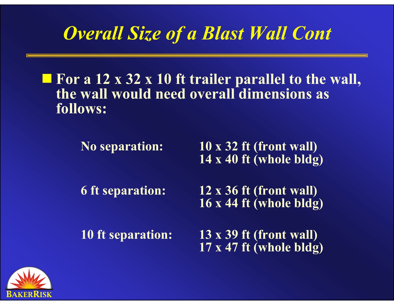# *Overall Size of a Blast Wall Cont*

#### ■ For a 12 x 32 x 10 ft trailer parallel to the wall, **the wall would need overall dimensions as follows:**

| <b>No separation:</b>    | $10 \times 32$ ft (front wall)<br>$14 \times 40$ ft (whole bldg) |
|--------------------------|------------------------------------------------------------------|
| 6 ft separation:         | 12 x 36 ft (front wall)<br>$16 \times 44$ ft (whole bldg)        |
| <b>10 ft separation:</b> | $13 \times 39$ ft (front wall)                                   |

**17 x 47 ft (whole bldg)**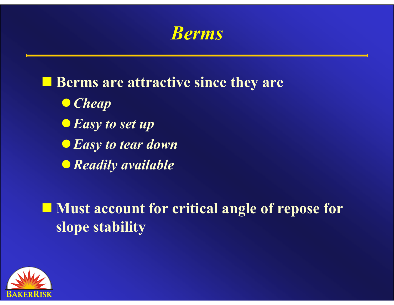*Berms*

**Berms are attractive since they are** <sup>z</sup>*Cheap*  $\bullet$  *Easy to set up* **• Easy to tear down** <sup>z</sup>*Readily available*

**Must account for critical angle of repose for slope stability**

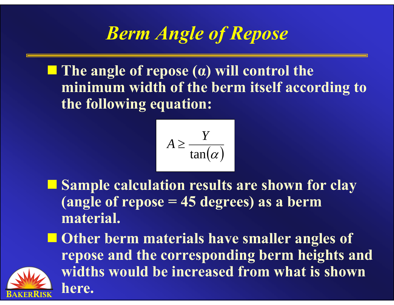# *Berm Angle of Repose*

 **The angle of repose ( <sup>α</sup>) will control the minimum width of the berm itself according to the following equation:**

$$
A \ge \frac{Y}{\tan(\alpha)}
$$

- Sample calculation results are shown for clay **(angle of repose = 45 degrees) as a berm material.**
- **Other berm materials have smaller angles of repose and the corresponding berm heights and widths would be increased from what is shown here.**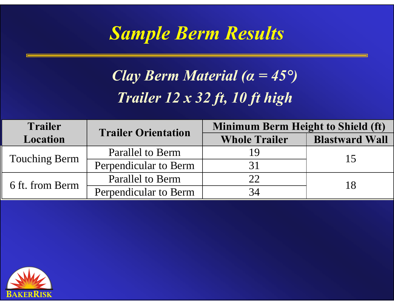## *Sample Berm Results*

## *Clay Berm Material (<sup>α</sup> = 45°) Trailer 12 x 32 ft, 10 ft high*

| <b>Trailer</b>       | <b>Trailer Orientation</b> | <b>Minimum Berm Height to Shield (ft)</b> |                       |  |
|----------------------|----------------------------|-------------------------------------------|-----------------------|--|
| <b>Location</b>      |                            | <b>Whole Trailer</b>                      | <b>Blastward Wall</b> |  |
| <b>Touching Berm</b> | Parallel to Berm           | 19                                        | 15                    |  |
|                      | Perpendicular to Berm      |                                           |                       |  |
| 6 ft. from Berm      | <b>Parallel to Berm</b>    | 22                                        |                       |  |
|                      | Perpendicular to Berm      | 34                                        |                       |  |

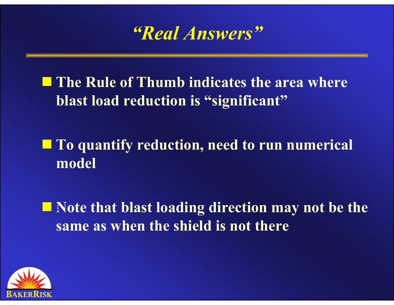

**■ The Rule of Thumb indicates the area where blast load reduction is "significant"**

 **To quantify reduction, need to run numerical model**

■ Note that blast loading direction may not be the **same as when the shield is not there**

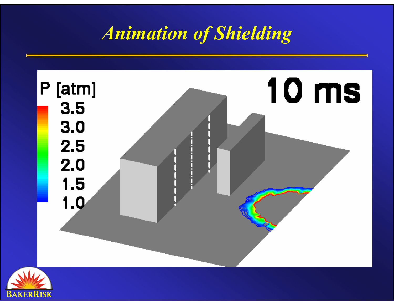# *Animation of Shielding*



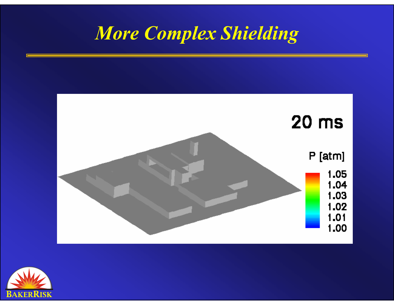## *More Complex Shielding*



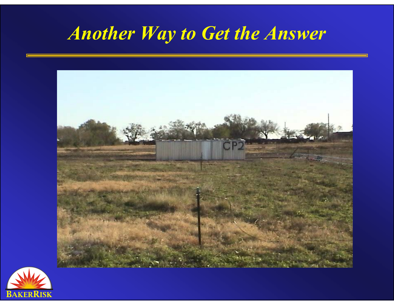# *Another Way to Get the Answer*



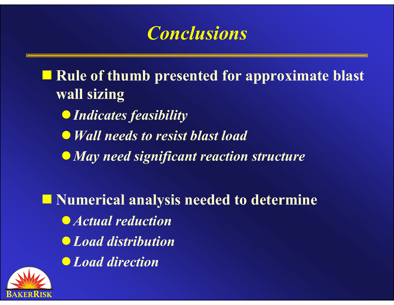## *Conclusions*

■ Rule of thumb presented for approximate blast **wall sizing**

- **Indicates feasibility**
- z*Wall needs to resist blast load*
- <sup>z</sup>*May need significant reaction structure*

**Numerical analysis needed to determine** z*Actual reduction* z*Load distribution* z*Load direction*